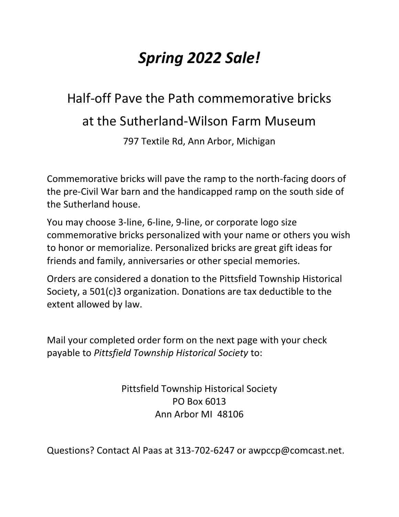## *Spring 2022 Sale!*

## Half-off Pave the Path commemorative bricks at the Sutherland-Wilson Farm Museum

797 Textile Rd, Ann Arbor, Michigan

Commemorative bricks will pave the ramp to the north-facing doors of the pre-Civil War barn and the handicapped ramp on the south side of the Sutherland house.

You may choose 3-line, 6-line, 9-line, or corporate logo size commemorative bricks personalized with your name or others you wish to honor or memorialize. Personalized bricks are great gift ideas for friends and family, anniversaries or other special memories.

Orders are considered a donation to the Pittsfield Township Historical Society, a 501(c)3 organization. Donations are tax deductible to the extent allowed by law.

Mail your completed order form on the next page with your check payable to *Pittsfield Township Historical Society* to:

> Pittsfield Township Historical Society PO Box 6013 Ann Arbor MI 48106

Questions? Contact Al Paas at 313-702-6247 or awpccp@comcast.net.